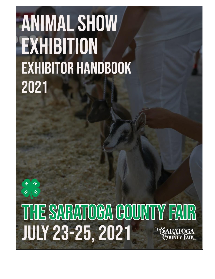# **ANIMAL SHOW** EXHIBITION **EXHIBITOR HANDBOOK** 2021

THE SARATOCA COUNTY FAIR **JULY 23-25, 2021**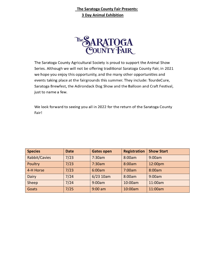## **The Saratoga County Fair Presents: 3 Day Animal Exhibition**



The Saratoga County Agricultural Society is proud to support the Animal Show Series. Although we will not be offering traditional Saratoga County Fair, in 2021 we hope you enjoy this opportunity, and the many other opportunities and events taking place at the fairgrounds this summer. They include: TourdeCure, Saratoga Brewfest, the Adirondack Dog Show and the Balloon and Craft Festival, just to name a few.

We look forward to seeing you all in 2022 for the return of the Saratoga County Fair!

| <b>Species</b> | <b>Date</b> | <b>Gates open</b> | <b>Registration</b> | <b>Show Start</b> |
|----------------|-------------|-------------------|---------------------|-------------------|
| Rabbit/Cavies  | 7/23        | 7:30am            | 8:00am              | 9:00am            |
| Poultry        | 7/23        | 7:30am            | 8:00am              | 12:00pm           |
| 4-H Horse      | 7/23        | 6:00am            | 7:00am              | 8:00am            |
| Dairy          | 7/24        | $6/23$ 10am       | 8:00am              | 9:00am            |
| Sheep          | 7/24        | 9:00am            | 10:00am             | 11:00am           |
| Goats          | 7/25        | $9:00$ am         | 10:00am             | 11:00am           |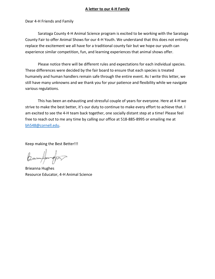## **A letter to our 4-H Family**

Dear 4-H Friends and Family

Saratoga County 4-H Animal Science program is excited to be working with the Saratoga County Fair to offer Animal Shows for our 4-H Youth. We understand that this does not entirely replace the excitement we all have for a traditional county fair but we hope our youth can experience similar competition, fun, and learning experiences that animal shows offer.

Please notice there will be different rules and expectations for each individual species. These differences were decided by the fair board to ensure that each species is treated humanely and human handlers remain safe through the entire event. As I write this letter, we still have many unknowns and we thank you for your patience and flexibility while we navigate various regulations.

This has been an exhausting and stressful couple of years for everyone. Here at 4-H we strive to make the best better, it's our duty to continue to make every effort to achieve that. I am excited to see the 4-H team back together, one socially distant step at a time! Please feel free to reach out to me any time by calling our office at 518-885-8995 or emailing me at [bh548@cornell.edu.](mailto:bh548@cornell.edu)

Keep making the Best Better!!!

Burnfunger

Brieanna Hughes Resource Educator, 4-H Animal Science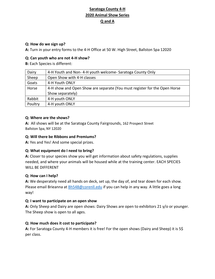# **Saratoga County 4-H 2020 Animal Show Series Q and A**

## **Q: How do we sign up?**

**A:** Turn in your entry forms to the 4-H Office at 50 W. High Street, Ballston Spa 12020

## **Q: Can youth who are not 4-H show?**

**B:** Each Species is different:

| Dairy   | 4-H Youth and Non-4-H youth welcome-Saratoga County Only                  |
|---------|---------------------------------------------------------------------------|
| Sheep   | Open Show with 4-H classes                                                |
| Goats   | 4-H Youth ONLY                                                            |
| Horse   | 4-H show and Open Show are separate (You must register for the Open Horse |
|         | Show separately)                                                          |
| Rabbit  | 4-H youth ONLY                                                            |
| Poultry | 4-H youth ONLY                                                            |

## **Q: Where are the shows?**

**A:** All shows will be at the Saratoga County Fairgrounds, 162 Prospect Street Ballston Spa, NY 12020

## **Q: Will there be Ribbons and Premiums?**

**A:** Yes and Yes! And some special prizes.

## **Q: What equipment do I need to bring?**

**A:** Closer to your species show you will get information about safety regulations, supplies needed, and where your animals will be housed while at the training center. EACH SPECIES WILL BE DIFFERENT

## **Q: How can I help?**

**A:** We desperately need all hands on deck, set up, the day of, and tear down for each show. Please email Brieanna at [Bh548@corenll.edu](mailto:Bh548@corenll.edu) if you can help in any way. A little goes a long way!

## **Q: I want to participate on an open show**

**A:** Only Sheep and Dairy are open shows: Dairy Shows are open to exhibitors 21 y/o or younger. The Sheep show is open to all ages.

## **Q: How much does it cost to participate?**

**A:** For Saratoga County 4-H members it is free! For the open shows (Dairy and Sheep) it is 5\$ per class.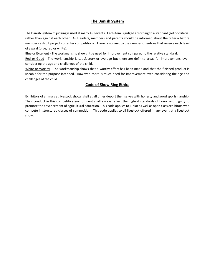## **The Danish System**

The Danish System of judging is used at many 4-H events. Each item is judged according to a standard (set of criteria) rather than against each other. 4-H leaders, members and parents should be informed about the criteria before members exhibit projects or enter competitions. There is no limit to the number of entries that receive each level of award (blue, red or white).

Blue or Excellent - The workmanship shows little need for improvement compared to the relative standard.

Red or Good - The workmanship is satisfactory or average but there are definite areas for improvement, even considering the age and challenges of the child.

White or Worthy - The workmanship shows that a worthy effort has been made and that the finished product is useable for the purpose intended. However, there is much need for improvement even considering the age and challenges of the child.

## **Code of Show Ring Ethics**

Exhibitors of animals at livestock shows shall at all times deport themselves with honesty and good sportsmanship. Their conduct in this competitive environment shall always reflect the highest standards of honor and dignity to promote the advancement of agricultural education. This code applies to junior as well as open class exhibitors who compete in structured classes of competition. This code applies to all livestock offered in any event at a livestock show.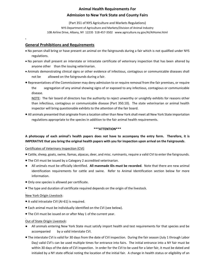## **Animal Health Requirements For Admission to New York State and County Fairs**

(Part 351 of NYS Agriculture and Markets Regulations) NYS Department of Agriculture and Markets/Division of Animal Industry 10B Airline Drive, Albany, NY 12235 518-457-3502 www.agriculture.ny.gov/AI/AIHome.html

## **General Prohibitions and Requirements**

- No person shall bring or have present an animal on the fairgrounds during a fair which is not qualified under NYS regulations.
- No person shall present an interstate or intrastate certificate of veterinary inspection that has been altered by anyone other than the issuing veterinarian.
- Animals demonstrating clinical signs or other evidence of infectious, contagious or communicable diseases shall not be allowed on the fairgrounds during a fair.
- Representatives of the Commissioner may deny admission to or require removal from the fair premises, or require the segregation of any animal showing signs of or exposed to any infectious, contagious or communicable disease.

NOTE: The fair board of directors has the authority to reject unworthy or unsightly exhibits for reasons other than infectious, contagious or communicable disease (Part 350.10). The state veterinarian or animal health inspector will bring questionable exhibits to the attention of the fair board.

• All animals presented that originate from a location other than New York shall meet all New York State importation regulations appropriate to the species in addition to the fair animal health requirements.

#### **\*\*\*ATTENTION\*\*\***

## **A photocopy of each animal's health papers does not have to accompany the entry form. Therefore, it is IMPERATIVE that you bring the original health papers with you for inspection upon arrival on the Fairgrounds**.

#### Certificates of Veterinary Inspection (CVI)

- Cattle, sheep, goats, swine, llamas, alpacas, deer, and misc. ruminants, require a valid CVI to enter the fairgrounds.
- The CVI must be issued by a Category 2 accredited veterinarian.
- All animals must be officially identified. **All manmade IDs must be recorded**. Note that there are new animal identification requirements for cattle and swine. Refer to Animal Identification section below for more information.
- Only one species is allowed per certificate.
- The type and duration of certificate required depends on the origin of the livestock.

## New York Origin Livestock:

- A valid intrastate CVI (AI-61) is required.
- Each animal must be individually identified on the CVI (see below).
- The CVI must be issued on or after May 1 of the current year.

#### Out of State Origin Livestock:

- All animals entering New York State must satisfy import health and test requirements for that species and be accompanied by a valid interstate CVI.
- The interstate CVI is valid for 30 days from the date of CVI inspection. During the fair season (July 1 through Labor Day) valid CVI's can be used multiple times for entrance into fairs. The initial entrance into a NY fair must be within 30 days of the date of CVI inspection. In order for the CVI to be used for a later fair, it must be dated and initialed by a NY state official noting the location of the initial fair. A change in health status or eligibility of an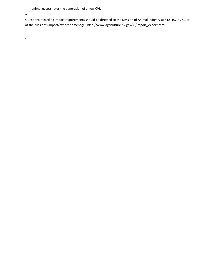animal necessitates the generation of a new CVI.

 $\bullet$ 

 $\frac{1}{2}$ 

Questions regarding import requirements should be directed to the Division of Animal Industry at 518-457-3971, or at the division's import/export homepage: http://www.agriculture.ny.gov/AI/import\_export.html.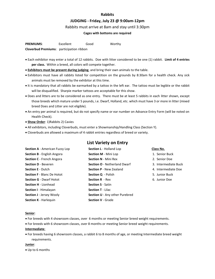#### **Rabbits**

#### **JUDGING - Friday, July 23 @ 9:00am-12pm**

Rabbits must arrive at 8am and stay until 3:30pm

#### **Cages with bottoms are required**

| <b>PREMIUMS:</b>                                | Excellent | Good | Worthy |
|-------------------------------------------------|-----------|------|--------|
| <b>Cloverbud Premiums:</b> participation ribbon |           |      |        |

- Each exhibitor may enter a total of 12 rabbits. Doe with litter considered to be one (1) rabbit. **Limit of 4 entries per class.** Within a breed, all colors will compete together.
- **Exhibitors must be present during judging**, and bring their own animals to the table.
- Exhibitors must have all rabbits listed for competition on the grounds by 8:30am for a health check. Any sick animals must be removed by the exhibitor at this time.
- It is mandatory that all rabbits be earmarked by a tattoo in the left ear. The tattoo must be legible or the rabbit will be disqualified. Sharpie marker tattoos are acceptable for this show.
- Does and litters are to be considered as one entry. There must be at least 5 rabbits in each litter shown, except those breeds which mature under 5 pounds, i.e. Dwarf, Holland, etc. which must have 3 or more in litter (mixed breed Does and Litter are not eligible).
- An entry per animal is required, but do not specify name or ear number on Advance Entry Form (will be noted on Health Check).
- **Show Order**: 1)Rabbits 2) Cavies
- All exhibitors, including Cloverbuds, must enter a Showmanship/Handling Class (Section Y).
- Cloverbuds are allowed a maximum of 4 rabbit entries regardless of breed or variety.

## **List Variety on Entry**

| <b>Section A</b> - American Fuzzy Lop | <b>Section L</b> - Holland Lop        | Class No.            |
|---------------------------------------|---------------------------------------|----------------------|
| <b>Section B - English Angora</b>     | Section M - Mini Lop                  | 1. Senior Buck       |
| <b>Section C</b> - French Angora      | <b>Section N - Mini Rex</b>           | 2. Senior Doe        |
| <b>Section D - Beveren</b>            | <b>Section O</b> - Netherland Dwarf   | 3. Intermediate Buck |
| <b>Section E</b> - Dutch              | <b>Section P - New Zealand</b>        | 4. Intermediate Doe  |
| <b>Section F</b> - Blanc De Hotot     | <b>Section Q</b> - Polish             | 5. Junior Buck       |
| <b>Section G</b> - Dwarf Hotot        | <b>Section R</b> - Rex                | 6. Junior Doe        |
| <b>Section H - Lionhead</b>           | <b>Section S</b> - Satin              |                      |
| Section I - Himalayan                 | <b>Section T</b> - Lilac              |                      |
| <b>Section J</b> - Jersey Wooly       | <b>Section U</b> - Any other Purebred |                      |
| <b>Section K</b> - Harleguin          | <b>Section V</b> - Grade              |                      |

#### **Senior**:

- For breeds with 4 showroom classes, over 6 months or meeting Senior breed weight requirements.
- For breeds with 6 showroom classes, over 8 months or meeting Senior breed weight requirements.

#### **Intermediate**:

• For breeds having 6 showroom classes, a rabbit 6 to 8 months of age, or meeting Intermediate breed weight requirements.

#### **Junior**:

• Up to 6 months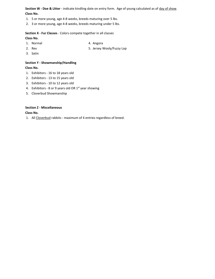**Section W - Doe & Litter** - indicate kindling date on entry form. Age of young calculated as of day of show. **Class No.**

- 1. 5 or more young, age 4-8 weeks, breeds maturing over 5 lbs.
- 2. 3 or more young, age 4-8 weeks, breeds maturing under 5 lbs.

**Section X - Fur Classes** - Colors compete together in all classes

**Class No.**

- 1. Normal 4. Angora
- 2. Rex 3. Jersey Wooly/Fuzzy Lop
- 3. Satin

#### **Section Y - Showmanship/Handling**

**Class No.**

- 1. Exhibitors 16 to 18 years old
- 2. Exhibitors 13 to 15 years old
- 3. Exhibitors 10 to 12 years old
- 4. Exhibitors 8 or 9 years old OR  $1<sup>st</sup>$  year showing
- 5. Cloverbud Showmanship

#### **Section Z - Miscellaneous**

**Class No.** 

1. All Cloverbud rabbits - maximum of 4 entries regardless of breed.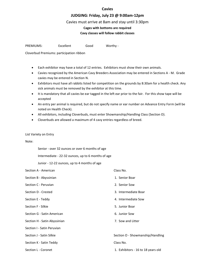#### **Cavies**

#### **JUDGING: Friday, July 23 @ 9:00am-12pm**

#### Cavies must arrive at 8am and stay until 3:30pm

## **Cages with bottoms are required**

#### **Cavy classes will follow rabbit classes**

PREMIUMS: Excellent Good Worthy -

Cloverbud Premiums: participation ribbon

- Each exhibitor may have a total of 12 entries. Exhibitors must show their own animals.
- Cavies recognized by the American Cavy Breeders Association may be entered in Sections A M. Grade cavies may be entered in Section N.
- Exhibitors must have all rabbits listed for competition on the grounds by 8:30am for a health check. Any sick animals must be removed by the exhibitor at this time.
- It is mandatory that all cavies be ear tagged in the left ear prior to the fair. For this show tape will be accepted
- An entry per animal is required, but do not specify name or ear number on Advance Entry Form (will be noted on Health Check).
- All exhibitors, including Cloverbuds, must enter Showmanship/Handling Class (Section O).
- Cloverbuds are allowed a maximum of 4 cavy entries regardless of breed.

#### List Variety on Entry

#### Note:

Senior - over 32 ounces or over 6 months of age

Intermediate - 22-32 ounces, up to 6 months of age

Junior - 12-22 ounces, up to 4 months of age

| Section A - American         | Class No.                          |
|------------------------------|------------------------------------|
| Section B - Abyssinian       | 1. Senior Boar                     |
| Section C - Peruvian         | 2. Senior Sow                      |
| Section D - Crested          | 3. Intermediate Boar               |
| Section E - Teddy            | 4. Intermediate Sow                |
| Section F - Silkie           | 5. Junior Boar                     |
| Section G - Satin American   | 6. Junior Sow                      |
| Section H - Satin Abyssinian | 7. Sow and Litter                  |
| Section I - Satin Peruvian   |                                    |
| Section J - Satin Silkie     | Section O - Showmanship/Handling   |
| Section K - Satin Teddy      | Class No.                          |
| Section L - Coronet          | 1. Exhibitors - 16 to 18 years old |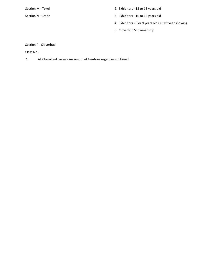- Section M Texel 2. Exhibitors 13 to 15 years old
- Section N Grade 3. Exhibitors 10 to 12 years old
	- 4. Exhibitors 8 or 9 years old OR 1st year showing
	- 5. Cloverbud Showmanship

## Section P - Cloverbud

Class No.

1. All Cloverbud cavies - maximum of 4 entries regardless of breed.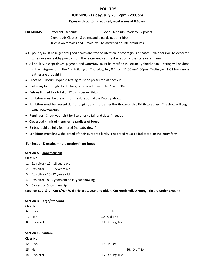#### **POULTRY**

#### **JUDGING - Friday, July 23 12pm - 2:00pm**

#### **Cages with bottoms required, must arrive at 8:00 am**

**PREMIUMS:** Excellent - 8 points **FREMIUMS:** Excellent - 8 points Cloverbuds Classes - 8 points and a participation ribbon Trios (two females and 1 male) will be awarded double premiums.

- All poultry must be in general good health and free of infection, or contagious diseases. Exhibitors will be expected to remove unhealthy poultry from the fairgrounds at the discretion of the state veterinarian.
- All poultry, except doves, pigeons, and waterfowl must be certified Pullorum-Typhoid clean. Testing will be done at the fairgrounds in the 4-H Building on Thursday, July  $8^{th}$  from 11:00am-2:00pm. Testing will NOT be done as entries are brought in.
- Proof of Pullorum-Typhoid testing must be presented at check in.
- Birds may be brought to the fairgrounds on Friday, July 3<sup>rd</sup> at 8:00am
- Entries limited to a total of 12 birds per exhibitor.
- Exhibitors must be present for the duration of the Poultry Show.
- Exhibitors must be present during judging, and must enter the Showmanship Exhibitors class. The show will begin with Showmanship!
- Reminder: Check your bird for lice prior to fair and dust if needed!
- Cloverbud **- limit of 4 entries regardless of breed**
- Birds should be fully feathered (no baby down)
- Exhibitors must know the breed of their purebred birds. The breed must be indicated on the entry form.

#### **For Section D entries – note predominant breed**

#### **Section A - Showmanship**

#### **Class No.**

- 1. Exhibitor 16 18 years old
- 2. Exhibitor 13 15 years old
- 3. Exhibitor 10 -12 years old
- 4. Exhibitor  $8 9$  years old or  $1<sup>st</sup>$  year showing
- 5. Cloverbud Showmanship

**(Section B, C, & D - Cock/Hen/Old Trio are 1 year and older. Cockerel/Pullet/Young Trio are under 1 year.)**

## **Section B - Large/Standard**

#### **Class No.**

| 6. Cock     | 9. Pullet      |
|-------------|----------------|
| 7. Hen      | 10. Old Trio   |
| 8. Cockerel | 11. Young Trio |

#### **Section C - Bantam**:

| Class No.    |                |              |
|--------------|----------------|--------------|
| 12. Cock     | 15. Pullet     |              |
| 13. Hen      |                | 16. Old Trio |
| 14. Cockerel | 17. Young Trio |              |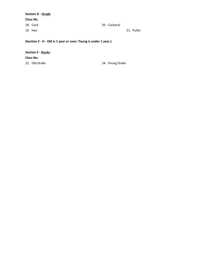**Section D - Grade Class No.** 18. Cock 20. Cockerel 19. Hen 21. Pullet

**(Section E - H - Old is 1 year or over; Young is under 1 year.)**

**Section E - Ducks**: **Class No.** 22. Old Drake 24. Young Drake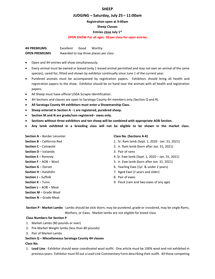#### **SHEEP**

#### **JUDGING – Saturday, July 25 – 11:00am**

**Registration open at 9:00am**

**Sheep Classes** 

#### **Entries close July 1st**

#### **OPEN SHOW-For all ages- 5\$ per class for open entries**

**4H PREMIUMS**: Excellent Good Worthy **OPEN PREMIUMS** Awarded to top three places per class

- Open and 4H entries will show simultaneously.
- Every animal must be owned or leased (only 1 leased animal permitted and may not own an animal of the same species), cared for, fitted and shown by exhibitor continually since June 1 of the current year.
- Purebred animals must be accompanied by registration papers. Exhibitors should bring all health and registration papers to the show. Exhibitor should be on hand near the animals with all health and registration papers.
- All Sheep must have official USDA Scrapie Identification.
- 4H Sections and classes are open to Saratoga County 4H members only (Section Q and R).
- **All Saratoga County 4H exhibitors must enter a Showmanship Class.**
- **Sheep entered in Section A - L are registered, purebred sheep.**
- **Section M and N are grade/non-registered-- ewes only.**
- **Sections without three exhibitors and ten sheep will be combined with appropriate AOB Section.**
- **Any lamb exhibited in a breeding class will not be eligible to be shown in the market class.**

**Section A** – Border Leicester **Class No. (Sections A-K)**

- 
- 
- **Section D** Icelandic 3. Pair of rams
- 
- 
- 
- 
- **Section J** Suffolk **8. Pair of ewes**
- 
- **Section L** AOB Meat
- **Section M** Grade Wool
- **Section N** Grade Meat

- **Section B** California Red 1. Sr. Ram lamb (Sept. 1, 2020 Jan. 31, 2021)
- **Section C** Cotswold 2. Jr. Ram lamb (born after Jan. 31, 2021)
	-
- **Section E** Romney 4. Sr. Ewe lamb (Sept. 1, 2020 Jan. 31, 2021)
- **Section F** AOB Wool 5. Jr. Ewe lamb (born after Jan. 31, 2021)
- **Section G** Dorset **6. Yearling Ewe (1yr. & under 2 years)** 6. Yearling Ewe (1yr. & under 2 years)
- **Section H** Katahdin **3. Aged Ewe (2 years and older)** 7. Aged Ewe (2 years and older)
	-
- **Section K** Tunis **Section K** Tunis **19. Flock** (ram and two ewes of any age)

#### **Class Numbers for Section P**

- 1. Market Lambs (80 pounds or over)
- 2. Pre-Market Weight lambs (less than 80 pounds)
- 3. Pair of Market Lambs
- **Section Q – Miscellaneous Saratoga County 4H classes Class No.**
- 1. **Lead Line**  Exhibitor should wear coordinated wool outfit. One article must be 100% wool and not exhibited in previous years. Exhibitor must fill out a Lead Line Commentary Form describing their outfit. All those competing

**Section P - Market Lambs** - Lambs should be slick shorn, may be purebred, grade or crossbred, may be single Rams, Wethers, or Ewes. Market lambs are not eligible for breed class.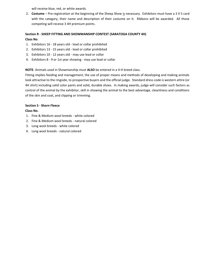will receive blue, red, or white awards.

2. **Costume** – Pre-registration at the beginning of the Sheep Show is necessary. Exhibitors must have a 3 X 5 card with the category, their name and description of their costume on it. Ribbons will be awarded. All those competing will receive 3 4H premium points.

## **Section R - SHEEP FITTING AND SHOWMANSHIP CONTEST (SARATOGA COUNTY 4H) Class No**.

- 1. Exhibitors 16 18 years old lead or collar prohibited
- 2. Exhibitors 13 15 years old lead or collar prohibited
- 3. Exhibitors 10 12 years old may use lead or collar
- 4. Exhibitors 8 9 or 1st year showing may use lead or collar

**NOTE**: Animals used in Showmanship must **ALSO** be entered in a 4-H breed class.

Fitting implies feeding and management, the use of proper means and methods of developing and making animals look attractive to the ringside, to prospective buyers and the official judge. Standard dress code is western attire (or 4H shirt) including solid color pants and solid, durable shoes. In making awards, judge will consider such factors as control of the animal by the exhibitor, skill in showing the animal to the best advantage, cleanliness and conditions of the skin and coat, and clipping or trimming.

#### **Section S - Shorn Fleece**

#### **Class No.**

- 1. Fine & Medium wool breeds white colored
- 2. Fine & Medium wool breeds natural colored
- 3. Long wool breeds white colored
- 4. Long wool breeds natural colored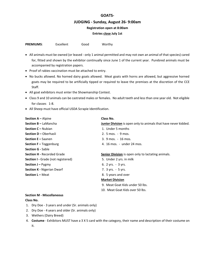#### **GOATS-**

#### **JUDGING - Sunday, August 26- 9:00am**

**Registration open at 8:00am**

#### **Entries close July 1st**

| <b>PREMIUMS:</b> | Excellent | Good | Worthy |
|------------------|-----------|------|--------|
|                  |           |      |        |

- All animals must be owned (or leased only 1 animal permitted and may not own an animal of that species) cared for, fitted and shown by the exhibitor continually since June 1 of the current year. Purebred animals must be accompanied by registration papers.
- Proof of rabies vaccination must be attached to entry.
- No bucks allowed. No horned dairy goats allowed. Meat goats with horns are allowed, but aggressive horned goats may be required to be artificially tipped or required to leave the premises at the discretion of the CCE Staff.
- All goat exhibitors must enter the Showmanship Contest.
- Class 9 and 10 animals can be castrated males or females. No adult teeth and less than one year old. Not eligible for classes 1-8.
- All Sheep must have official USDA Scrapie Identification.

| <b>Section A - Alpine</b>                 | Class No.                                                       |
|-------------------------------------------|-----------------------------------------------------------------|
| <b>Section B - LaMancha</b>               | Junior Division is open only to animals that have never kidded. |
| <b>Section C - Nubian</b>                 | 1. Under 5 months                                               |
| <b>Section D - Oberhasli</b>              | 2. 5 mos. - 9 mos.                                              |
| <b>Section E - Saanen</b>                 | 3. 9 mos. - 16 mos.                                             |
| <b>Section F</b> – Toggenburg             | 4. 16 mos. - under 24 mos.                                      |
| <b>Section G - Sable</b>                  |                                                                 |
| <b>Section H - Recorded Grade</b>         | Senior Division is open only to lactating animals.              |
| <b>Section I</b> - Grade (not registered) | 5. Under 2 yrs. in milk                                         |
| <b>Section J</b> – $Pygmy$                | 6. $2 \text{ yrs.} - 3 \text{ yrs.}$                            |
| <b>Section K - Nigerian Dwarf</b>         | 7. 3 yrs. - 5 yrs.                                              |
| <b>Section L - Meat</b>                   | 8. 5 years and over                                             |
|                                           | <b>Market Division</b>                                          |
|                                           | 9. Meat Goat Kids under 50 lbs.                                 |
|                                           | 10. Meat Goat Kids over 50 lbs.                                 |

#### **Section M - Miscellaneous Class No.**

- 1. Dry Doe 3 years and under (Sr. animals only)
- 2. Dry Doe 4 years and older (Sr. animals only)
- 3. Wethers (Dairy Breed)
- 4. **Costume** Exhibitors MUST have a 3 X 5 card with the category, their name and description of their costume on it.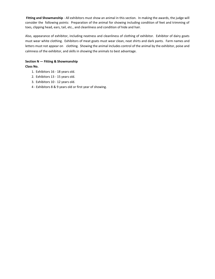**Fitting and Showmanship** - All exhibitors must show an animal in this section. In making the awards, the judge will consider the following points: Preparation of the animal for showing including condition of feet and trimming of toes, clipping head, ears, tail, etc., and cleanliness and condition of hide and hair.

Also, appearance of exhibitor, including neatness and cleanliness of clothing of exhibitor. Exhibitor of dairy goats must wear white clothing. Exhibitors of meat goats must wear clean, neat shirts and dark pants. Farm names and letters must not appear on clothing. Showing the animal includes control of the animal by the exhibitor, poise and calmness of the exhibitor, and skills in showing the animals to best advantage.

## **Section N — Fitting & Showmanship Class No.**

- 1. Exhibitors 16 18 years old.
- 2. Exhibitors 13 15 years old.
- 3. Exhibitors 10 12 years old.
- 4 Exhibitors 8 & 9 years old or first year of showing.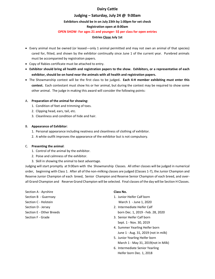## **Dairy Cattle**

#### **Judging – Saturday, July 24 @ 9:00am**

#### **Exhibitors should be in on July 23th by 1:00pm for vet check**

#### **Registration open at 8:00am**

#### **OPEN SHOW- For ages 21 and younger- 5\$ per class for open entries**

#### **Entries Close July 1st**

- Every animal must be owned (or leased—only 1 animal permitted and may not own an animal of that species) cared for, fitted, and shown by the exhibitor continually since June 1 of the current year. Purebred animals must be accompanied by registration papers.
- Copy of Rabies certificate must be attached to entry.
- **Exhibitor should bring all health and registration papers to the show. Exhibitors, or a representative of each exhibitor, should be on hand near the animals with all health and registration papers.**
- The Showmanship contest will be the first class to be judged**. Each 4-H member exhibiting must enter this contest.** Each contestant must show his or her animal, but during the contest may be required to show some other animal. The judge in making this award will consider the following points:

#### A. **Preparation of the animal for showing:**

- 1. Condition of feet and trimming of toes.
- 2. Clipping head, ears, tail, etc.
- 3. Cleanliness and condition of hide and hair.

#### B. **Appearance of Exhibitor**:

- 1. Personal appearance including neatness and cleanliness of clothing of exhibitor.
- 2. A white outfit improves the appearance of the exhibitor but is not compulsory.

#### C. **Presenting the animal**:

- 1. Control of the animal by the exhibitor.
- 2. Poise and calmness of the exhibitor.
- 3. Skill in showing the animal to best advantage.

Judging will start promptly at 9:00am with the Showmanship Classes. All other classes will be judged in numerical order, beginning with Class 1. After all of the non-milking classes are judged (Classes 1-7), the Junior Champion and Reserve Junior Champion of each breed, Senior Champion and Reserve Senior Champion of each breed, and overall Grand Champion and Reserve Grand Champion will be selected. Final classes of the day will be Section H Classes.

Section A - Ayrshire **Class No.** Section C - Holstein **March 1 - June 1, 2020** 

- Section B Guernsey 1. Junior Heifer Calf born
- Section D Jersey 2. Intermediate Heifer Calf
- Section E Other Breeds born Dec. 1, 2019 Feb. 28, 2020
- Section F Grade 3. Senior Heifer Calf born Sept. 1 - Nov. 30, 2019
	- 4. Summer Yearling Heifer born June 1 - Aug. 31, 2019 (not in milk)
	- 5. Junior Yearling Heifer born March 1 - May 31, 2019(not in Milk)
	- 6. Intermediate Senior Yearling Heifer born Dec. 1, 2018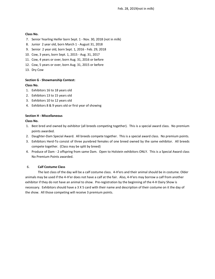Feb. 28, 2019(not in milk)

#### **Class No.**

- 7. Senior Yearling Heifer born Sept. 1 Nov. 30, 2018 (not in milk)
- 8. Junior 2 year old, born March 1 August 31, 2018
- 9. Senior 2 year old, born Sept. 1, 2016 Feb. 29, 2018
- 10. Cow, 3 years, born Sept. 1, 2015 Aug. 31, 2017
- 11. Cow, 4 years or over, born Aug. 31, 2016 or before
- 12. Cow, 5 years or over, born Aug. 31, 2015 or before
- 13. Dry Cow

#### **Section G - Showmanship Contest:**

#### **Class No.**

- 1. Exhibitors 16 to 18 years old
- 2. Exhibitors 13 to 15 years old
- 3. Exhibitors 10 to 12 years old
- 4. Exhibitors 8 & 9 years old or first year of showing

#### **Section H - Miscellaneous**

#### **Class No.**

- 1. Best bred and owned by exhibitor (all breeds competing together). This is a special award class. No premium points awarded.
- 2. Daughter-Dam Special Award. All breeds compete together. This is a special award class. No premium points.
- 3. Exhibitors Herd-To consist of three purebred females of one breed owned by the same exhibitor. All breeds compete together. (Class may be split by breed)
- 4. Produce of Dam 2 offspring from same Dam. Open to Holstein exhibitors ONLY. This is a Special Award class No Premium Points awarded.

#### 6. **Calf Costume Class**

The last class of the day will be a calf costume class. 4-H'ers and their animal should be in costume. Older animals may be used if the 4-H'er does not have a calf at the fair. Also, 4-H'ers may borrow a calf from another exhibitor if they do not have an animal to show. Pre-registration by the beginning of the 4-H Dairy Show is necessary. Exhibitors should have a 3 X 5 card with their name and description of their costume on it the day of the show. All those competing will receive 3 premium points.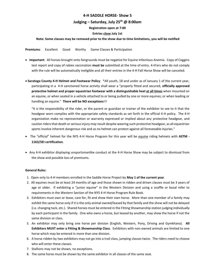### **4-H SADDLE HORSE- Show 5**

### **Judging – Saturday, July 25th @ 8:00am**

**Registration open at 7:00**

#### **Entries close July 1st**

#### **Note: Some classes may be removed prior to the show due to time limitations, you will be notified**

**Premiums**: Excellent Good Worthy Game Classes & Participation

- **Important**: All horses brought onto fairgrounds must be negative for Equine Infectious Anemia. Copy of Coggins test report and copy of rabies vaccination **must be** submitted at the time of entry. 4-H'ers who do not comply with the rule will be automatically ineligible and all their entries in the 4-H Fall Horse Show will be canceled.
- **Saratoga County 4-H Helmet and Footwear Policy**: \*All youth, 18 and under as of January 1 of the current year, participating in a 4-H sanctioned horse activity shall wear a "properly fitted and secured, **officially approved protective helmet and proper equestrian footwear with a distinguishable heel at all times** when mounted on an equine, or when seated in a vehicle attached to or being pulled by one or more equines; or when leading or handling an equine." **There will be NO exceptions**!!!

"It is the responsibility of the rider, or the parent or guardian or trainer of the exhibitor to see to it that the headgear worn complies with the appropriate safety standards as set forth in the official 4-H policy. The 4-H organization make no representation or warranty expressed or implied about any protective headgear, and caution riders that death or serious injury may result despite wearing such protective headgear, as all equestrian sports involve inherent dangerous risk and as no helmet can protect against all foreseeable injuries."

- The "official" helmet for the NYS 4-H Horse Program for this year will be equine riding helmets with **ASTM - 1163/SEI certification**.
- Any 4-H exhibitor displaying unsportsmanlike conduct at the 4-H Horse Show may be subject to dismissal from the show and possible loss of premiums.

#### **General Rules**:

- 1. Open only to 4-H members enrolled in the Saddle Horse Project by **May 1 of the current year**.
- 2. All equines must be at least 24 months of age and those shown in ridden and driven classes must be 3 years of age or older. If exhibiting a "junior equine" in the Western Division and using a snaffle or bosal refer to requirements in the Western Section of the NYS 4-H Horse Program Rule Book.
- 3. Exhibitors must own or lease, care for, fit and show their own horse. More than one member of a family may exhibit the same horse only if it is the only animal owned/leased by that family and the show will not be delayed (i.e. changing tack, etc.). Shared horses must be entered in the Fitting Showmanship station judging individually by each participant in the family. One who owns a horse, but leased by another, may show the horse if not the same division or class.
- 5. An exhibitor may only bring one horse per division (English, Western, Pony, Driving and Gymkhana). **All Exhibitors MUST enter a Fitting & Showmanship Class**. Exhibitors with non-owned animals are limited to one horse which may be entered in more than one division.
- 6. A horse ridden by two exhibitors may not go into a trail class, jumping classes twice. The riders need to choose who will enter these classes.
- 7. Stallions may not be shown, no exceptions.
- 8. The same horse must be shown by the same exhibitor in all classes of the same seat.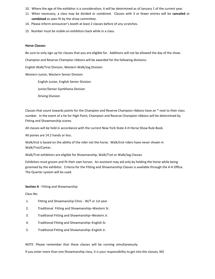- 10. Where the age of the exhibitor is a consideration, it will be determined as of January 1 of the current year.
- 11. When necessary, a class may be divided or combined. Classes with 3 or fewer entries will be **canceled** or **combined** as seen fit by the show committee.
- 14. Please inform announcer's booth at least 2 classes before of any scratches.
- 15. Number must be visible on exhibitors back while in a class.

#### **Horse Classes:**

Be sure to only sign up for classes that you are eligible for. Additions will not be allowed the day of the show.

Champion and Reserve Champion ribbons will be awarded for the following divisions:

English Walk/Trot Division, Western Walk/Jog Division

Western Junior, Western Senior Division

English Junior, English Senior Division

Junior/Senior Gymkhana Division

Driving Division

Classes that count towards points for the Champion and Reserve Champion ribbons have an \* next to their class number. In the event of a tie for High Point, Champion and Reserve Champion ribbons will be determined by Fitting and Showmanship scores.

All classes will be held in accordance with the current New York State 4-H Horse Show Rule Book.

All ponies are 14.2 hands or less.

Walk/trot is based on the ability of the rider not the horse. Walk/trot riders have never shown in Walk/Trot/Canter.

Walk/Trot exhibitors are eligible for Showmanship, Walk/Trot or Walk/Jog Classes

Exhibitors must groom and fit their own horses. An assistant may aid only by holding the horse while being groomed by the exhibitor. Criteria for the Fitting and Showmanship Classes is available through the 4-H Office. The Quarter system will be used.

#### **Section A** - Fitting and Showmanship

Class No.

- 1. Fitting and Showmanship Clinic W/T or 1st year
- 2. Traditional Fitting and Showmanship–Western Sr.
- 3. Traditional Fitting and Showmanship–Western Jr.
- 4. Traditional Fitting and Showmanship–English Sr.
- 5. Traditional Fitting and Showmanship–English Jr.

NOTE: Please remember that these classes will be running simultaneously.

If you enter more than one Showmanship class, it is your responsibility to get into the classes, NO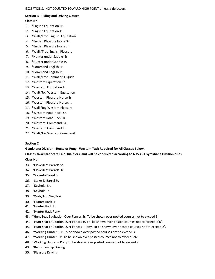## **Section B - Riding and Driving Classes**

#### **Class No.**

- 1. \*English Equitation Sr.
- 2. \*English Equitation Jr.
- 3. \*Walk/Trot English Equitation
- 4. \*English Pleasure Horse Sr.
- 5. \*English Pleasure Horse Jr.
- 6. \*Walk/Trot English Pleasure
- 7. \*Hunter under Saddle Sr.
- 8. \*Hunter under Saddle Jr.
- 9. \*Command English Sr.
- 10. \*Command English Jr.
- 11. \*Walk/Trot Command English
- 12. \*Western Equitation Sr.
- 13. \*Western Equitation Jr.
- 14. \*Walk/Jog Western Equitation
- 15. \*Western Pleasure Horse Sr
- 16. \*Western Pleasure Horse Jr.
- 17. \*Walk/Jog Western Pleasure
- 18. \*Western Road Hack Sr.
- 19. \*Western Road Hack Jr.
- 20. \*Western Command Sr.
- 21. \*Western Command Jr.
- 22. \*Walk/Jog Western Command

#### **Section C**

**Gymkhana Division - Horse or Pony. Western Tack Required for All Classes Below.** 

**Classes 36-49 are State Fair Qualifiers, and will be conducted according to NYS 4-H Gymkhana Division rules.** 

#### **Class No.**

- 33. \*Cloverleaf Barrels Sr.
- 34. \*Cloverleaf Barrels Jr.
- 35. \*Stake-N-Barrel Sr.
- 36. \*Stake-N-Barrel Jr.
- 37. \*Keyhole Sr.
- 38. \*Keyhole Jr.
- 39. \*Walk/Trot/Jog Trail
- 40. \*Hunter Hack Sr.
- 41. \*Hunter Hack Jr.
- 42. \*Hunter Hack Pony
- 43. \*Hunt Seat Equitation Over Fences Sr. To be shown over posted courses not to exceed 3'
- 44. \*Hunt Seat Equitation Over Fences Jr. To be shown over posted courses not to exceed 2'6".
- 45. \*Hunt Seat Equitation Over Fences Pony. To be shown over posted courses not to exceed 2'.
- 46. \*Working Hunter Sr. To be shown over posted courses not to exceed 3'.
- 47. \*Working Hunter Jr. To be shown over posted courses not to exceed 2'6".
- 48. \*Working Hunter Pony To be shown over posted courses not to exceed 2'.
- 49. \*Reinsmanship Driving
- 50. \*Pleasure Driving